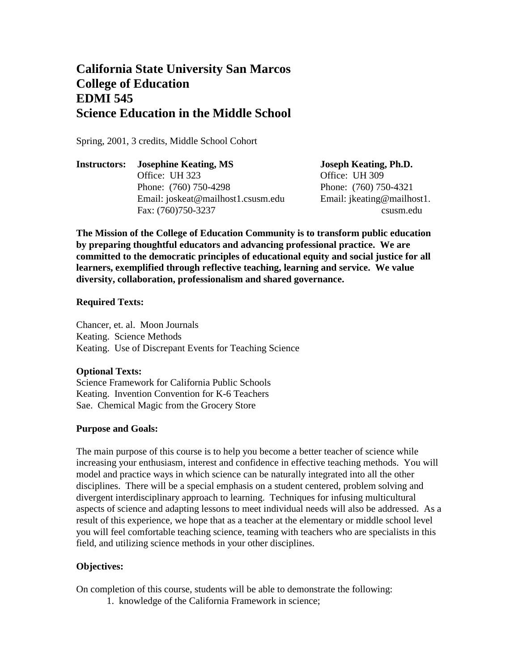# **California State University San Marcos College of Education EDMI 545 Science Education in the Middle School**

Spring, 2001, 3 credits, Middle School Cohort

**Instructors: Josephine Keating, MS Joseph Keating, Ph.D.** Office: UH 323 Office: UH 309 Phone: (760) 750-4298 Phone: (760) 750-4321 Email: joskeat@mailhost1.csusm.edu Email: jkeating@mailhost1. Fax: (760)750-3237 csusm.edu

**The Mission of the College of Education Community is to transform public education by preparing thoughtful educators and advancing professional practice. We are committed to the democratic principles of educational equity and social justice for all learners, exemplified through reflective teaching, learning and service. We value diversity, collaboration, professionalism and shared governance.**

## **Required Texts:**

Chancer, et. al. Moon Journals Keating. Science Methods Keating. Use of Discrepant Events for Teaching Science

## **Optional Texts:**

Science Framework for California Public Schools Keating. Invention Convention for K-6 Teachers Sae. Chemical Magic from the Grocery Store

# **Purpose and Goals:**

The main purpose of this course is to help you become a better teacher of science while increasing your enthusiasm, interest and confidence in effective teaching methods. You will model and practice ways in which science can be naturally integrated into all the other disciplines. There will be a special emphasis on a student centered, problem solving and divergent interdisciplinary approach to learning. Techniques for infusing multicultural aspects of science and adapting lessons to meet individual needs will also be addressed. As a result of this experience, we hope that as a teacher at the elementary or middle school level you will feel comfortable teaching science, teaming with teachers who are specialists in this field, and utilizing science methods in your other disciplines.

# **Objectives:**

On completion of this course, students will be able to demonstrate the following:

1. knowledge of the California Framework in science;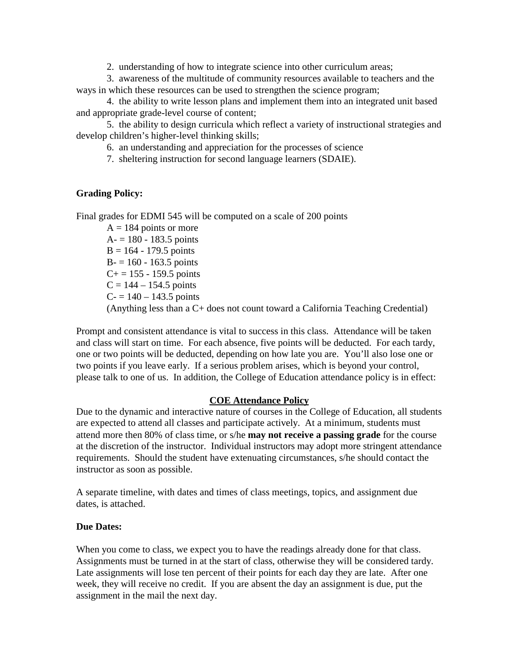2. understanding of how to integrate science into other curriculum areas;

3. awareness of the multitude of community resources available to teachers and the ways in which these resources can be used to strengthen the science program;

4. the ability to write lesson plans and implement them into an integrated unit based and appropriate grade-level course of content;

5. the ability to design curricula which reflect a variety of instructional strategies and develop children's higher-level thinking skills;

6. an understanding and appreciation for the processes of science

7. sheltering instruction for second language learners (SDAIE).

### **Grading Policy:**

Final grades for EDMI 545 will be computed on a scale of 200 points

 $A = 184$  points or more  $A = 180 - 183.5$  points  $B = 164 - 179.5$  points  $B = 160 - 163.5$  points  $C+= 155 - 159.5$  points  $C = 144 - 154.5$  points  $C = 140 - 143.5$  points (Anything less than a C+ does not count toward a California Teaching Credential)

Prompt and consistent attendance is vital to success in this class. Attendance will be taken and class will start on time. For each absence, five points will be deducted. For each tardy, one or two points will be deducted, depending on how late you are. You'll also lose one or two points if you leave early. If a serious problem arises, which is beyond your control, please talk to one of us. In addition, the College of Education attendance policy is in effect:

#### **COE Attendance Policy**

Due to the dynamic and interactive nature of courses in the College of Education, all students are expected to attend all classes and participate actively. At a minimum, students must attend more then 80% of class time, or s/he **may not receive a passing grade** for the course at the discretion of the instructor. Individual instructors may adopt more stringent attendance requirements. Should the student have extenuating circumstances, s/he should contact the instructor as soon as possible.

A separate timeline, with dates and times of class meetings, topics, and assignment due dates, is attached.

### **Due Dates:**

When you come to class, we expect you to have the readings already done for that class. Assignments must be turned in at the start of class, otherwise they will be considered tardy. Late assignments will lose ten percent of their points for each day they are late. After one week, they will receive no credit. If you are absent the day an assignment is due, put the assignment in the mail the next day.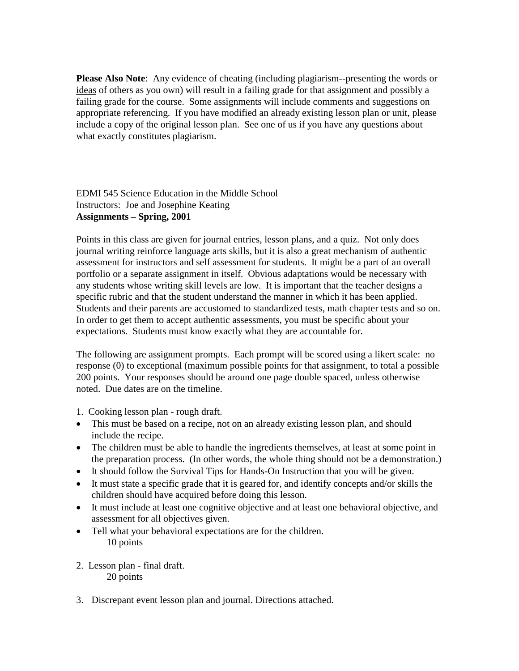**Please Also Note:** Any evidence of cheating (including plagiarism--presenting the words or ideas of others as you own) will result in a failing grade for that assignment and possibly a failing grade for the course. Some assignments will include comments and suggestions on appropriate referencing. If you have modified an already existing lesson plan or unit, please include a copy of the original lesson plan. See one of us if you have any questions about what exactly constitutes plagiarism.

EDMI 545 Science Education in the Middle School Instructors: Joe and Josephine Keating **Assignments – Spring, 2001**

Points in this class are given for journal entries, lesson plans, and a quiz. Not only does journal writing reinforce language arts skills, but it is also a great mechanism of authentic assessment for instructors and self assessment for students. It might be a part of an overall portfolio or a separate assignment in itself. Obvious adaptations would be necessary with any students whose writing skill levels are low. It is important that the teacher designs a specific rubric and that the student understand the manner in which it has been applied. Students and their parents are accustomed to standardized tests, math chapter tests and so on. In order to get them to accept authentic assessments, you must be specific about your expectations. Students must know exactly what they are accountable for.

The following are assignment prompts. Each prompt will be scored using a likert scale: no response (0) to exceptional (maximum possible points for that assignment, to total a possible 200 points. Your responses should be around one page double spaced, unless otherwise noted. Due dates are on the timeline.

1. Cooking lesson plan - rough draft.

- This must be based on a recipe, not on an already existing lesson plan, and should include the recipe.
- The children must be able to handle the ingredients themselves, at least at some point in the preparation process. (In other words, the whole thing should not be a demonstration.)
- It should follow the Survival Tips for Hands-On Instruction that you will be given.
- It must state a specific grade that it is geared for, and identify concepts and/or skills the children should have acquired before doing this lesson.
- It must include at least one cognitive objective and at least one behavioral objective, and assessment for all objectives given.
- Tell what your behavioral expectations are for the children. 10 points
- 2. Lesson plan final draft. 20 points
- 3. Discrepant event lesson plan and journal. Directions attached.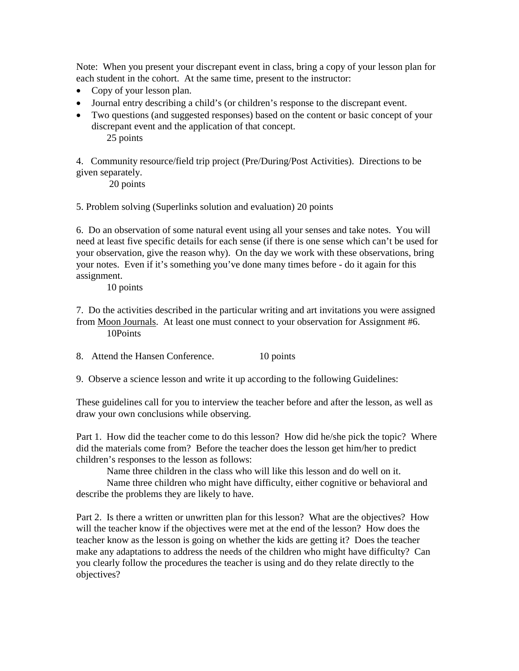Note: When you present your discrepant event in class, bring a copy of your lesson plan for each student in the cohort. At the same time, present to the instructor:

- Copy of your lesson plan.
- Journal entry describing a child's (or children's response to the discrepant event.
- Two questions (and suggested responses) based on the content or basic concept of your discrepant event and the application of that concept. 25 points

4. Community resource/field trip project (Pre/During/Post Activities). Directions to be given separately.

20 points

5. Problem solving (Superlinks solution and evaluation) 20 points

6. Do an observation of some natural event using all your senses and take notes. You will need at least five specific details for each sense (if there is one sense which can't be used for your observation, give the reason why). On the day we work with these observations, bring your notes. Even if it's something you've done many times before - do it again for this assignment.

10 points

7. Do the activities described in the particular writing and art invitations you were assigned from Moon Journals. At least one must connect to your observation for Assignment #6. 10Points

8. Attend the Hansen Conference. 10 points

9. Observe a science lesson and write it up according to the following Guidelines:

These guidelines call for you to interview the teacher before and after the lesson, as well as draw your own conclusions while observing.

Part 1. How did the teacher come to do this lesson? How did he/she pick the topic? Where did the materials come from? Before the teacher does the lesson get him/her to predict children's responses to the lesson as follows:

Name three children in the class who will like this lesson and do well on it.

Name three children who might have difficulty, either cognitive or behavioral and describe the problems they are likely to have.

Part 2. Is there a written or unwritten plan for this lesson? What are the objectives? How will the teacher know if the objectives were met at the end of the lesson? How does the teacher know as the lesson is going on whether the kids are getting it? Does the teacher make any adaptations to address the needs of the children who might have difficulty? Can you clearly follow the procedures the teacher is using and do they relate directly to the objectives?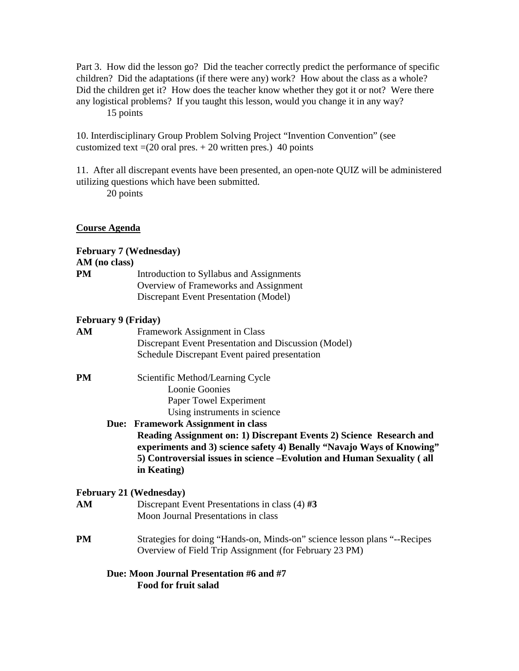Part 3. How did the lesson go? Did the teacher correctly predict the performance of specific children? Did the adaptations (if there were any) work? How about the class as a whole? Did the children get it? How does the teacher know whether they got it or not? Were there any logistical problems? If you taught this lesson, would you change it in any way? 15 points

10. Interdisciplinary Group Problem Solving Project "Invention Convention" (see customized text  $=(20 \text{ oral pres.} + 20 \text{ written pres.})$  40 points

11. After all discrepant events have been presented, an open-note QUIZ will be administered utilizing questions which have been submitted.

20 points

## **Course Agenda**

|                            | <b>February 7 (Wednesday)</b>                                             |
|----------------------------|---------------------------------------------------------------------------|
| AM (no class)              |                                                                           |
| PM                         | Introduction to Syllabus and Assignments                                  |
|                            | Overview of Frameworks and Assignment                                     |
|                            | <b>Discrepant Event Presentation (Model)</b>                              |
| <b>February 9 (Friday)</b> |                                                                           |
| AM                         | Framework Assignment in Class                                             |
|                            | Discrepant Event Presentation and Discussion (Model)                      |
|                            | Schedule Discrepant Event paired presentation                             |
| PM                         | Scientific Method/Learning Cycle                                          |
|                            | <b>Loonie Goonies</b>                                                     |
|                            | Paper Towel Experiment                                                    |
|                            | Using instruments in science                                              |
|                            | Due: Framework Assignment in class                                        |
|                            | Reading Assignment on: 1) Discrepant Events 2) Science Research and       |
|                            | experiments and 3) science safety 4) Benally "Navajo Ways of Knowing"     |
|                            | 5) Controversial issues in science -Evolution and Human Sexuality (all    |
|                            | in Keating)                                                               |
|                            | <b>February 21 (Wednesday)</b>                                            |
| AM                         | Discrepant Event Presentations in class $(4)$ #3                          |
|                            | Moon Journal Presentations in class                                       |
| PM                         | Strategies for doing "Hands-on, Minds-on" science lesson plans "--Recipes |
|                            | Overview of Field Trip Assignment (for February 23 PM)                    |
|                            | Due: Moon Journal Presentation #6 and #7                                  |

**Food for fruit salad**